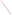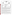





## **Verification Statement**

| <b>TECHNOLOGY TYPE:</b>     | <b>X-RAY FLUORESCENCE</b>                              |                              |                                          |
|-----------------------------|--------------------------------------------------------|------------------------------|------------------------------------------|
| <b>APPLICATION:</b>         | <b>MEASUREMENT OF LEAD IN DUST WIPES</b>               |                              |                                          |
| <b>TECHNOLOGY NAME:</b>     | <b>XL-700 Series XRF Instrument</b>                    |                              |                                          |
| <b>COMPANY:</b>             | <b>NITON</b> Corporation                               |                              |                                          |
| <b>ADDRESS:</b>             | 900 Middlesex Turnpike, Bldg. 8<br>Billerica, MA 01821 | <b>PHONE:</b><br><b>FAX:</b> | $(978) 670 - 7460$<br>$(978) 670 - 7430$ |
| <b>WEB SITE:</b><br>E-MAIL: | www.niton.com<br>jishein@niton.com                     |                              |                                          |

The U.S. Environmental Protection Agency (EPA) has created the Environmental Technology Verification Program (ETV) to facilitate the deployment of innovative or improved environmental technologies through performance verification and dissemination of information. The goal of the ETV Program is to further environmental protection by substantially accelerating the acceptance and use of improved and cost-effective technologies. ETV seeks to achieve this goal by providing high-quality, peer-reviewed data on technology performance to those involved in the design, distribution, financing, permitting, purchase, and use of environmental technologies.

ETV works in partnership with recognized standards and testing organizations and stakeholder groups consisting of regulators, buyers, and vendor organizations, with the full participation of individual technology developers. The program evaluates the performance of innovative technologies by developing test plans that are responsive to the needs of stakeholders, conducting field or laboratory tests (as appropriate), collecting and analyzing data, and preparing peer-reviewed reports. All evaluations are conducted in accordance with rigorous quality assurance protocols to ensure that data of known and adequate quality are generated and that the results are defensible.

Oak Ridge National Laboratory (ORNL) is one of the verification organizations operating under the Advanced Monitoring Technology (AMT) Center. AMT, which is administered by EPA's National Exposure Research Laboratory (NERL), is one of six technology areas under ETV. In this verification test, ORNL evaluated the performance of lead in dust wipe measurement technologies. This verification statement provides a summary of the test results for NITON's XL-700 Series x-ray fluorescence (XRF) instrument.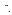## **VERIFICATION TEST DESCRIPTION**

This verification test was designed to evaluate technologies that detect and measure lead in dust wipes. The test was conducted at the Capitol Community Technical College in Hartford, CT, from November 5 through November 9, 2001. The vendors of commercially-available, field portable technologies blindly analyzed 160 dust wipe samples containing known amounts of lead, ranging in concentration from  $\leq 2$  to  $1,500 \mu g/wipe$ . The experimental design was particularly focused on important clearance levels, such as those identified in 40 CFR Part 745.65 of 40, 250, and 400  $\mu$ g/ft<sup>2</sup>. The samples included wipes newlyprepared and archived from the Environmental Lead Proficiency Analytical Testing Program (ELPAT). These samples were prepared from dust collected in households in North Carolina and Wisconsin. Also, newly-prepared samples were acquired from the University of Cincinnati (UC). The UC dust wipe samples were prepared from National Institute of Standards and Technology (NIST) Standard Reference Materials (SRMs). The results of the lead analyses generated by the technology were compared with results from analyses of similar samples by conventional laboratory methodology in a laboratory that was recognized as proficient by the National Lead Laboratory Accreditation Program (NLLAP) for clearance testing. Details of the test, including a data summary and discussion of results, may be found in the report entitled *Environmental Technology Verification Report: Lead in Dust Wipe Detection Technology— NITON Corporation, XL-700 Series X-Ray Fluorescence Instrument,* EPA/600/R-02/055. NITON's XL-300 Series XRF was also evaluated in the test and a separate report has been prepared (*Environmental Technology Verification Report: Lead in Dust Wipe Detection Technology— NITON Corporation, XL-300 Series X-Ray Fluorescence Instrument,* EPA/600/R-02/059).

## **TECHNOLOGY DESCRIPTION**

The XL-700 Series instrument is an energy dispersive x-ray fluorescence (EDXRF) spectrometer that uses one to three sealed, radioisotope sources to excite characteristic x-rays of a test sample's constituent elements. These characteristic x-rays are continuously detected, identified, and quantified by the spectrometer during sample analysis. In this test, the exact instrument model used was XL-723S with two sources (Cd-109 and Am-241). Stated simply, the energy of each x-ray detected identifies a particular element present in the sample, and the rate at which x-rays of a given energy are counted provides a determination of the quantity of that element that is present in the sample. Detection of the characteristic lead x-rays is achieved using a highly efficient, thermo-electrically cooled, solid-state, Big-Area Silicon PIN-diode (BASP) detector. Signals from the BASP are amplified, digitized, and then quantified via integral multichannel analysis and data processing units. Sample test results are displayed in total micrograms of lead per dust wipe. NITON's XL-700 Series XRF instrument reporting limits were approximately 5  $\mu$ g/wipe during the verification test.

## **VERIFICATION OF PERFORMANCE**

The following performance characteristics of the XL-700 Series XRF were observed:

*Precision:* Precision—based on the average percent relative standard deviation—was 8%.

Accuracy: Accuracy was assessed using the estimated concentrations of the ELPAT and UC samples. The average percent recovery value for all samples reported above 10  $\mu$ g/wipe was 114%. The high bias was statistically significant, but it was well within the acceptable bias range of  $100\% \pm 25\%$ .

*Comparability:* A comparison of the XL-700 results and the NLLAP-recognized laboratory results was performed for all samples (ELPAT and UC) that were reported above 20  $\mu$ g/wipe. The correlation coefficient (*r*) for the comparison of the entire dust wipe data set was 0.999 [slope (*m*) = 1.11,  $intercept = 13.153$ ], indicating good agreement with the NLLAP laboratory data.